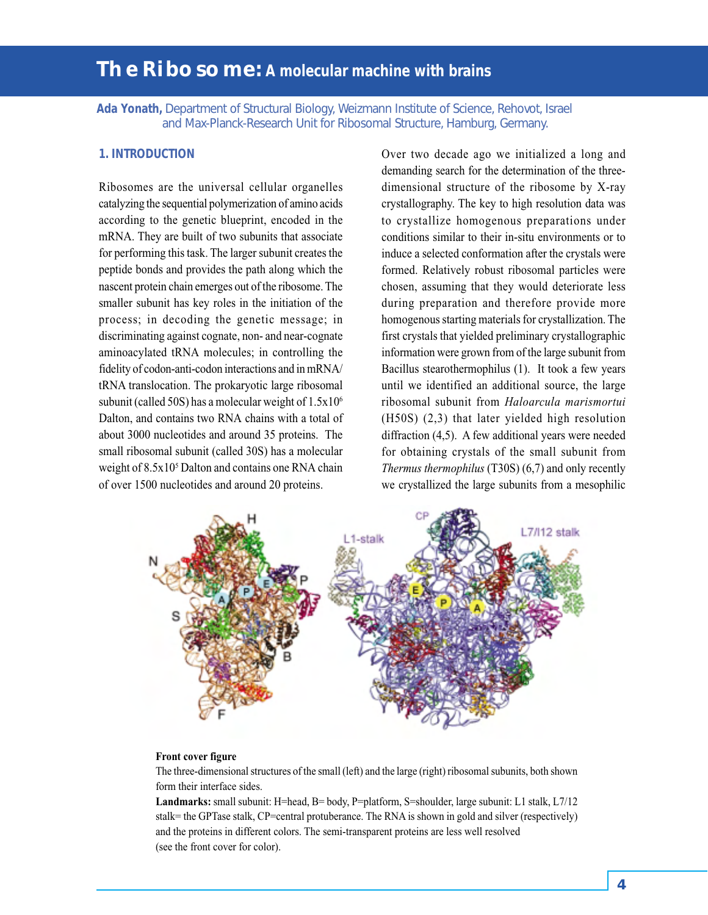# **The Ribosome: A molecular machine with brains**

**Ada Yonath,** Department of Structural Biology, Weizmann Institute of Science, Rehovot, Israel and Max-Planck-Research Unit for Ribosomal Structure, Hamburg, Germany.

# **1. INTRODUCTION**

Ribosomes are the universal cellular organelles catalyzing the sequential polymerization of amino acids according to the genetic blueprint, encoded in the mRNA. They are built of two subunits that associate for performing this task. The larger subunit creates the peptide bonds and provides the path along which the nascent protein chain emerges out of the ribosome. The smaller subunit has key roles in the initiation of the process; in decoding the genetic message; in discriminating against cognate, non- and near-cognate aminoacylated tRNA molecules; in controlling the fidelity of codon-anti-codon interactions and in mRNA/ tRNA translocation. The prokaryotic large ribosomal subunit (called 50S) has a molecular weight of  $1.5x10^6$ Dalton, and contains two RNA chains with a total of about 3000 nucleotides and around 35 proteins. The small ribosomal subunit (called 30S) has a molecular weight of  $8.5x10<sup>5</sup>$  Dalton and contains one RNA chain of over 1500 nucleotides and around 20 proteins.

Over two decade ago we initialized a long and demanding search for the determination of the threedimensional structure of the ribosome by X-ray crystallography. The key to high resolution data was to crystallize homogenous preparations under conditions similar to their in-situ environments or to induce a selected conformation after the crystals were formed. Relatively robust ribosomal particles were chosen, assuming that they would deteriorate less during preparation and therefore provide more homogenous starting materials for crystallization. The first crystals that yielded preliminary crystallographic information were grown from of the large subunit from Bacillus stearothermophilus (1). It took a few years until we identified an additional source, the large ribosomal subunit from *Haloarcula marismortui* (H50S) (2,3) that later yielded high resolution diffraction (4,5). A few additional years were needed for obtaining crystals of the small subunit from *Thermus thermophilus* (T30S) (6,7) and only recently we crystallized the large subunits from a mesophilic



#### **Front cover figure**

The three-dimensional structures of the small (left) and the large (right) ribosomal subunits, both shown form their interface sides.

**Landmarks:** small subunit: H=head, B= body, P=platform, S=shoulder, large subunit: L1 stalk, L7/12 stalk= the GPTase stalk, CP=central protuberance. The RNA is shown in gold and silver (respectively) and the proteins in different colors. The semi-transparent proteins are less well resolved (see the front cover for color).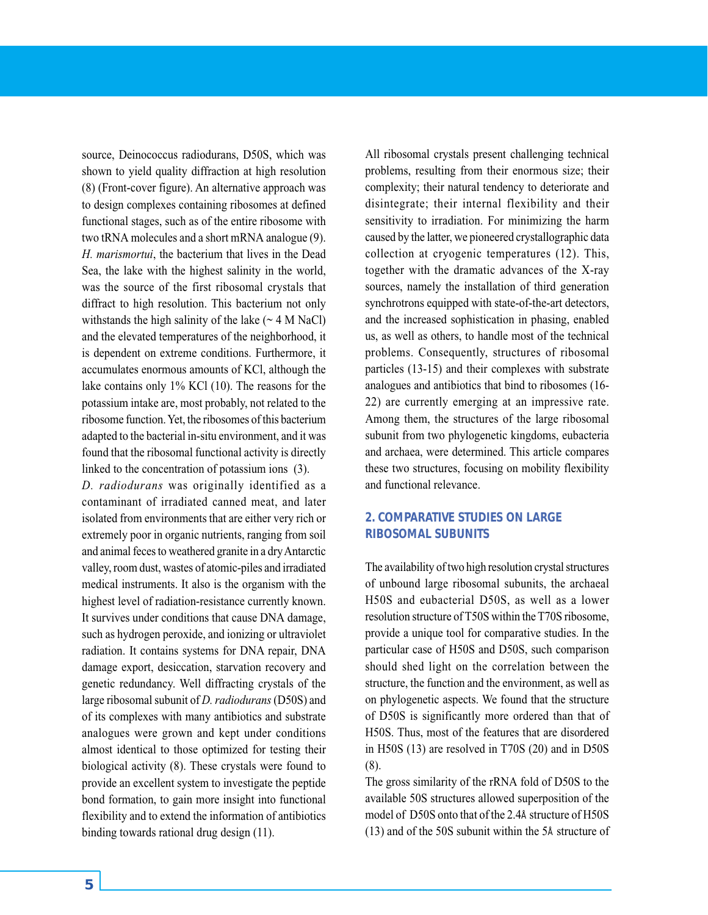source, Deinococcus radiodurans, D50S, which was shown to yield quality diffraction at high resolution (8) (Front-cover figure). An alternative approach was to design complexes containing ribosomes at defined functional stages, such as of the entire ribosome with two tRNA molecules and a short mRNA analogue (9). *H. marismortui*, the bacterium that lives in the Dead Sea, the lake with the highest salinity in the world, was the source of the first ribosomal crystals that diffract to high resolution. This bacterium not only withstands the high salinity of the lake  $(\sim 4$  M NaCl) and the elevated temperatures of the neighborhood, it is dependent on extreme conditions. Furthermore, it accumulates enormous amounts of KCl, although the lake contains only 1% KCl (10). The reasons for the potassium intake are, most probably, not related to the ribosome function. Yet, the ribosomes of this bacterium adapted to the bacterial in-situ environment, and it was found that the ribosomal functional activity is directly linked to the concentration of potassium ions (3).

*D. radiodurans* was originally identified as a contaminant of irradiated canned meat, and later isolated from environments that are either very rich or extremely poor in organic nutrients, ranging from soil and animal feces to weathered granite in a dry Antarctic valley, room dust, wastes of atomic-piles and irradiated medical instruments. It also is the organism with the highest level of radiation-resistance currently known. It survives under conditions that cause DNA damage, such as hydrogen peroxide, and ionizing or ultraviolet radiation. It contains systems for DNA repair, DNA damage export, desiccation, starvation recovery and genetic redundancy. Well diffracting crystals of the large ribosomal subunit of *D. radiodurans* (D50S) and of its complexes with many antibiotics and substrate analogues were grown and kept under conditions almost identical to those optimized for testing their biological activity (8). These crystals were found to provide an excellent system to investigate the peptide bond formation, to gain more insight into functional flexibility and to extend the information of antibiotics binding towards rational drug design (11).

All ribosomal crystals present challenging technical problems, resulting from their enormous size; their complexity; their natural tendency to deteriorate and disintegrate; their internal flexibility and their sensitivity to irradiation. For minimizing the harm caused by the latter, we pioneered crystallographic data collection at cryogenic temperatures (12). This, together with the dramatic advances of the X-ray sources, namely the installation of third generation synchrotrons equipped with state-of-the-art detectors, and the increased sophistication in phasing, enabled us, as well as others, to handle most of the technical problems. Consequently, structures of ribosomal particles (13-15) and their complexes with substrate analogues and antibiotics that bind to ribosomes (16- 22) are currently emerging at an impressive rate. Among them, the structures of the large ribosomal subunit from two phylogenetic kingdoms, eubacteria and archaea, were determined. This article compares these two structures, focusing on mobility flexibility and functional relevance.

# **2. COMPARATIVE STUDIES ON LARGE RIBOSOMAL SUBUNITS**

The availability of two high resolution crystal structures of unbound large ribosomal subunits, the archaeal H50S and eubacterial D50S, as well as a lower resolution structure of T50S within the T70S ribosome, provide a unique tool for comparative studies. In the particular case of H50S and D50S, such comparison should shed light on the correlation between the structure, the function and the environment, as well as on phylogenetic aspects. We found that the structure of D50S is significantly more ordered than that of H50S. Thus, most of the features that are disordered in H50S (13) are resolved in T70S (20) and in D50S (8).

The gross similarity of the rRNA fold of D50S to the available 50S structures allowed superposition of the model of D50S onto that of the 2.4Å structure of H50S (13) and of the 50S subunit within the 5Å structure of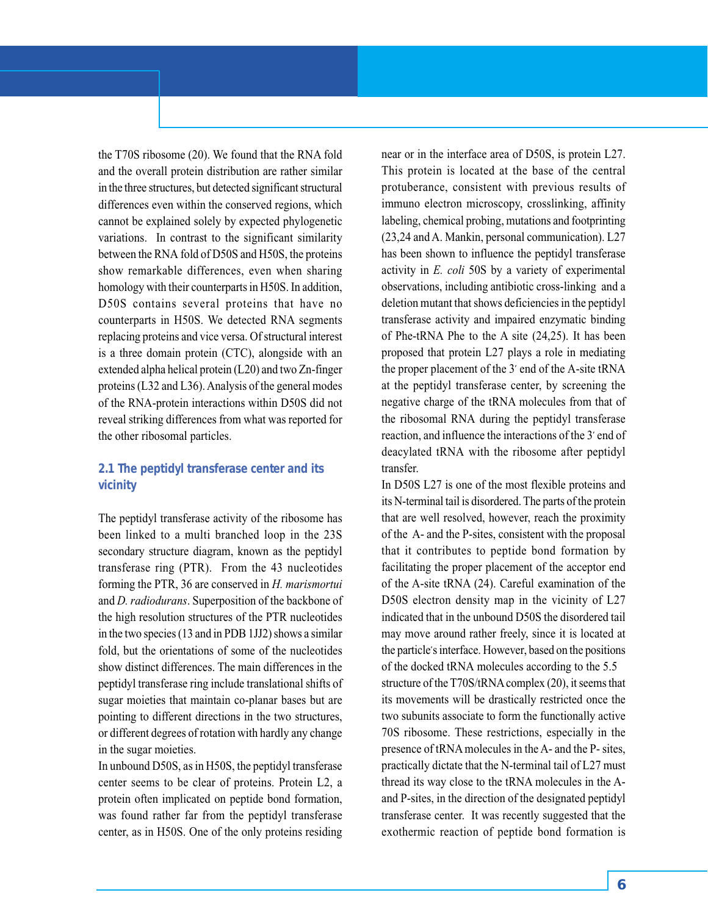the T70S ribosome (20). We found that the RNA fold and the overall protein distribution are rather similar in the three structures, but detected significant structural differences even within the conserved regions, which cannot be explained solely by expected phylogenetic variations. In contrast to the significant similarity between the RNA fold of D50S and H50S, the proteins show remarkable differences, even when sharing homology with their counterparts in H50S. In addition, D50S contains several proteins that have no counterparts in H50S. We detected RNA segments replacing proteins and vice versa. Of structural interest is a three domain protein (CTC), alongside with an extended alpha helical protein (L20) and two Zn-finger proteins (L32 and L36). Analysis of the general modes of the RNA-protein interactions within D50S did not reveal striking differences from what was reported for the other ribosomal particles.

# **2.1 The peptidyl transferase center and its vicinity**

The peptidyl transferase activity of the ribosome has been linked to a multi branched loop in the 23S secondary structure diagram, known as the peptidyl transferase ring (PTR). From the 43 nucleotides forming the PTR, 36 are conserved in *H. marismortui* and *D. radiodurans*. Superposition of the backbone of the high resolution structures of the PTR nucleotides in the two species (13 and in PDB 1JJ2) shows a similar fold, but the orientations of some of the nucleotides show distinct differences. The main differences in the peptidyl transferase ring include translational shifts of sugar moieties that maintain co-planar bases but are pointing to different directions in the two structures, or different degrees of rotation with hardly any change in the sugar moieties.

In unbound D50S, as in H50S, the peptidyl transferase center seems to be clear of proteins. Protein L2, a protein often implicated on peptide bond formation, was found rather far from the peptidyl transferase center, as in H50S. One of the only proteins residing near or in the interface area of D50S, is protein L27. This protein is located at the base of the central protuberance, consistent with previous results of immuno electron microscopy, crosslinking, affinity labeling, chemical probing, mutations and footprinting (23,24 and A. Mankin, personal communication). L27 has been shown to influence the peptidyl transferase activity in *E. coli* 50S by a variety of experimental observations, including antibiotic cross-linking and a deletion mutant that shows deficiencies in the peptidyl transferase activity and impaired enzymatic binding of Phe-tRNA Phe to the A site (24,25). It has been proposed that protein L27 plays a role in mediating the proper placement of the 3' end of the A-site tRNA at the peptidyl transferase center, by screening the negative charge of the tRNA molecules from that of the ribosomal RNA during the peptidyl transferase reaction, and influence the interactions of the 3' end of deacylated tRNA with the ribosome after peptidyl transfer.

In D50S L27 is one of the most flexible proteins and its N-terminal tail is disordered. The parts of the protein that are well resolved, however, reach the proximity of the A- and the P-sites, consistent with the proposal that it contributes to peptide bond formation by facilitating the proper placement of the acceptor end of the A-site tRNA (24). Careful examination of the D50S electron density map in the vicinity of L27 indicated that in the unbound D50S the disordered tail may move around rather freely, since it is located at the particle's interface. However, based on the positions of the docked tRNA molecules according to the 5.5 structure of the T70S/tRNA complex (20), it seems that its movements will be drastically restricted once the two subunits associate to form the functionally active 70S ribosome. These restrictions, especially in the presence of tRNA molecules in the A- and the P- sites, practically dictate that the N-terminal tail of L27 must thread its way close to the tRNA molecules in the Aand P-sites, in the direction of the designated peptidyl transferase center. It was recently suggested that the exothermic reaction of peptide bond formation is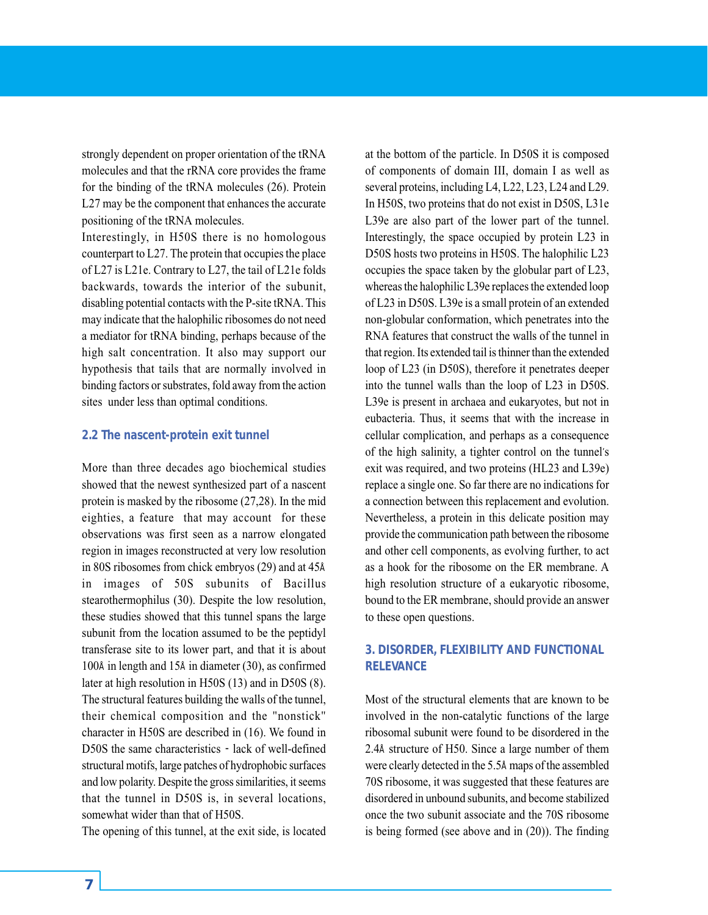strongly dependent on proper orientation of the tRNA molecules and that the rRNA core provides the frame for the binding of the tRNA molecules (26). Protein L27 may be the component that enhances the accurate positioning of the tRNA molecules.

Interestingly, in H50S there is no homologous counterpart to L27. The protein that occupies the place of L27 is L21e. Contrary to L27, the tail of L21e folds backwards, towards the interior of the subunit, disabling potential contacts with the P-site tRNA. This may indicate that the halophilic ribosomes do not need a mediator for tRNA binding, perhaps because of the high salt concentration. It also may support our hypothesis that tails that are normally involved in binding factors or substrates, fold away from the action sites under less than optimal conditions.

# **2.2 The nascent-protein exit tunnel**

More than three decades ago biochemical studies showed that the newest synthesized part of a nascent protein is masked by the ribosome (27,28). In the mid eighties, a feature that may account for these observations was first seen as a narrow elongated region in images reconstructed at very low resolution in 80S ribosomes from chick embryos (29) and at 45Å in images of 50S subunits of Bacillus stearothermophilus (30). Despite the low resolution, these studies showed that this tunnel spans the large subunit from the location assumed to be the peptidyl transferase site to its lower part, and that it is about 100Å in length and 15Å in diameter (30), as confirmed later at high resolution in H50S (13) and in D50S (8). The structural features building the walls of the tunnel, their chemical composition and the "nonstick" character in H50S are described in (16). We found in D50S the same characteristics - lack of well-defined structural motifs, large patches of hydrophobic surfaces and low polarity. Despite the gross similarities, it seems that the tunnel in D50S is, in several locations, somewhat wider than that of H50S.

The opening of this tunnel, at the exit side, is located

at the bottom of the particle. In D50S it is composed of components of domain III, domain I as well as several proteins, including L4, L22, L23, L24 and L29. In H50S, two proteins that do not exist in D50S, L31e L39e are also part of the lower part of the tunnel. Interestingly, the space occupied by protein L23 in D50S hosts two proteins in H50S. The halophilic L23 occupies the space taken by the globular part of L23, whereas the halophilic L39e replaces the extended loop of L23 in D50S. L39e is a small protein of an extended non-globular conformation, which penetrates into the RNA features that construct the walls of the tunnel in that region. Its extended tail is thinner than the extended loop of L23 (in D50S), therefore it penetrates deeper into the tunnel walls than the loop of L23 in D50S. L39e is present in archaea and eukaryotes, but not in eubacteria. Thus, it seems that with the increase in cellular complication, and perhaps as a consequence of the high salinity, a tighter control on the tunnel's exit was required, and two proteins (HL23 and L39e) replace a single one. So far there are no indications for a connection between this replacement and evolution. Nevertheless, a protein in this delicate position may provide the communication path between the ribosome and other cell components, as evolving further, to act as a hook for the ribosome on the ER membrane. A high resolution structure of a eukaryotic ribosome, bound to the ER membrane, should provide an answer to these open questions.

# **3. DISORDER, FLEXIBILITY AND FUNCTIONAL RELEVANCE**

Most of the structural elements that are known to be involved in the non-catalytic functions of the large ribosomal subunit were found to be disordered in the 2.4Å structure of H50. Since a large number of them were clearly detected in the 5.5Å maps of the assembled 70S ribosome, it was suggested that these features are disordered in unbound subunits, and become stabilized once the two subunit associate and the 70S ribosome is being formed (see above and in (20)). The finding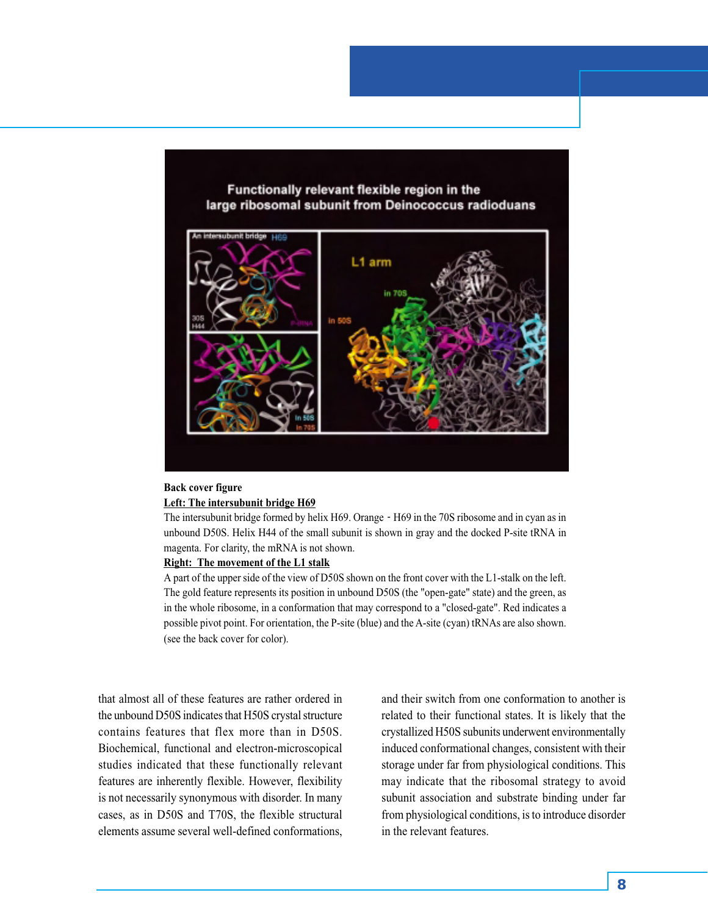Functionally relevant flexible region in the large ribosomal subunit from Deinococcus radioduans



### **Back cover figure Left: The intersubunit bridge H69**

The intersubunit bridge formed by helix H69. Orange  $\text{-}$  H69 in the 70S ribosome and in cyan as in unbound D50S. Helix H44 of the small subunit is shown in gray and the docked P-site tRNA in magenta. For clarity, the mRNA is not shown.

#### **Right: The movement of the L1 stalk**

A part of the upper side of the view of D50S shown on the front cover with the L1-stalk on the left. The gold feature represents its position in unbound D50S (the "open-gate" state) and the green, as in the whole ribosome, in a conformation that may correspond to a "closed-gate". Red indicates a possible pivot point. For orientation, the P-site (blue) and the A-site (cyan) tRNAs are also shown. (see the back cover for color).

that almost all of these features are rather ordered in the unbound D50S indicates that H50S crystal structure contains features that flex more than in D50S. Biochemical, functional and electron-microscopical studies indicated that these functionally relevant features are inherently flexible. However, flexibility is not necessarily synonymous with disorder. In many cases, as in D50S and T70S, the flexible structural elements assume several well-defined conformations,

and their switch from one conformation to another is related to their functional states. It is likely that the crystallized H50S subunits underwent environmentally induced conformational changes, consistent with their storage under far from physiological conditions. This may indicate that the ribosomal strategy to avoid subunit association and substrate binding under far from physiological conditions, is to introduce disorder in the relevant features.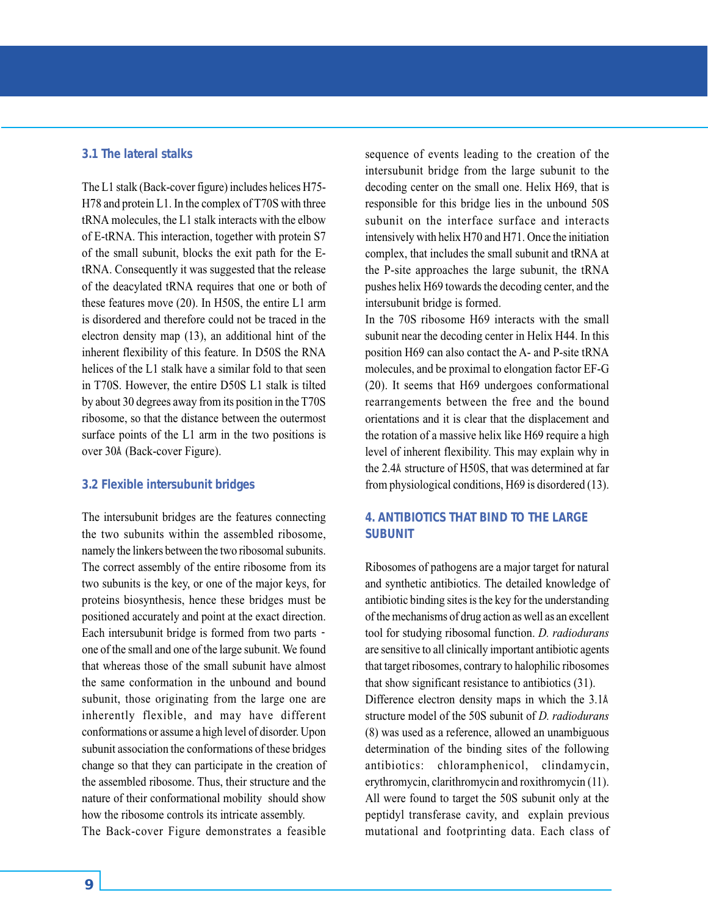# **3.1 The lateral stalks**

The L1 stalk (Back-cover figure) includes helices H75- H78 and protein L1. In the complex of T70S with three tRNA molecules, the L1 stalk interacts with the elbow of E-tRNA. This interaction, together with protein S7 of the small subunit, blocks the exit path for the EtRNA. Consequently it was suggested that the release of the deacylated tRNA requires that one or both of these features move (20). In H50S, the entire L1 arm is disordered and therefore could not be traced in the electron density map (13), an additional hint of the inherent flexibility of this feature. In D50S the RNA helices of the L1 stalk have a similar fold to that seen in T70S. However, the entire D50S L1 stalk is tilted by about 30 degrees away from its position in the T70S ribosome, so that the distance between the outermost surface points of the L1 arm in the two positions is over 30Å (Back-cover Figure).

### **3.2 Flexible intersubunit bridges**

The intersubunit bridges are the features connecting the two subunits within the assembled ribosome, namely the linkers between the two ribosomal subunits. The correct assembly of the entire ribosome from its two subunits is the key, or one of the major keys, for proteins biosynthesis, hence these bridges must be positioned accurately and point at the exact direction. Each intersubunit bridge is formed from two parts one of the small and one of the large subunit. We found that whereas those of the small subunit have almost the same conformation in the unbound and bound subunit, those originating from the large one are inherently flexible, and may have different conformations or assume a high level of disorder. Upon subunit association the conformations of these bridges change so that they can participate in the creation of the assembled ribosome. Thus, their structure and the nature of their conformational mobility should show how the ribosome controls its intricate assembly. The Back-cover Figure demonstrates a feasible sequence of events leading to the creation of the intersubunit bridge from the large subunit to the decoding center on the small one. Helix H69, that is responsible for this bridge lies in the unbound 50S subunit on the interface surface and interacts intensively with helix H70 and H71. Once the initiation complex, that includes the small subunit and tRNA at the P-site approaches the large subunit, the tRNA pushes helix H69 towards the decoding center, and the intersubunit bridge is formed.

In the 70S ribosome H69 interacts with the small subunit near the decoding center in Helix H44. In this position H69 can also contact the A- and P-site tRNA molecules, and be proximal to elongation factor EF-G (20). It seems that H69 undergoes conformational rearrangements between the free and the bound orientations and it is clear that the displacement and the rotation of a massive helix like H69 require a high level of inherent flexibility. This may explain why in the 2.4Å structure of H50S, that was determined at far from physiological conditions, H69 is disordered (13).

# **4. ANTIBIOTICS THAT BIND TO THE LARGE SUBUNIT**

Ribosomes of pathogens are a major target for natural and synthetic antibiotics. The detailed knowledge of antibiotic binding sites is the key for the understanding of the mechanisms of drug action as well as an excellent tool for studying ribosomal function. *D. radiodurans* are sensitive to all clinically important antibiotic agents that target ribosomes, contrary to halophilic ribosomes that show significant resistance to antibiotics (31). Difference electron density maps in which the 3.1Å structure model of the 50S subunit of *D. radiodurans* (8) was used as a reference, allowed an unambiguous determination of the binding sites of the following antibiotics: chloramphenicol, clindamycin, erythromycin, clarithromycin and roxithromycin (11). All were found to target the 50S subunit only at the peptidyl transferase cavity, and explain previous mutational and footprinting data. Each class of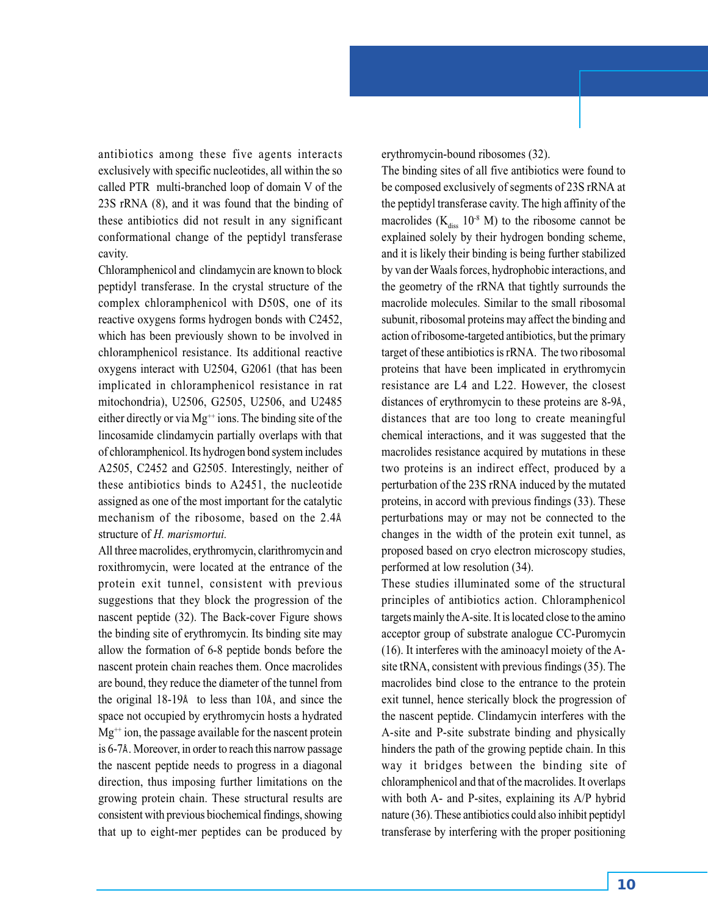antibiotics among these five agents interacts exclusively with specific nucleotides, all within the so called PTR multi-branched loop of domain V of the 23S rRNA (8), and it was found that the binding of these antibiotics did not result in any significant conformational change of the peptidyl transferase cavity.

Chloramphenicol and clindamycin are known to block peptidyl transferase. In the crystal structure of the complex chloramphenicol with D50S, one of its reactive oxygens forms hydrogen bonds with C2452, which has been previously shown to be involved in chloramphenicol resistance. Its additional reactive oxygens interact with U2504, G2061 (that has been implicated in chloramphenicol resistance in rat mitochondria), U2506, G2505, U2506, and U2485 either directly or via  $Mg^{++}$  ions. The binding site of the lincosamide clindamycin partially overlaps with that of chloramphenicol. Its hydrogen bond system includes A2505, C2452 and G2505. Interestingly, neither of these antibiotics binds to A2451, the nucleotide assigned as one of the most important for the catalytic mechanism of the ribosome, based on the 2.4Å structure of *H. marismortui.*

All three macrolides, erythromycin, clarithromycin and roxithromycin, were located at the entrance of the protein exit tunnel, consistent with previous suggestions that they block the progression of the nascent peptide (32). The Back-cover Figure shows the binding site of erythromycin. Its binding site may allow the formation of 6-8 peptide bonds before the nascent protein chain reaches them. Once macrolides are bound, they reduce the diameter of the tunnel from the original 18-19Å to less than 10Å, and since the space not occupied by erythromycin hosts a hydrated  $Mg^{++}$  ion, the passage available for the nascent protein is 6-7Å. Moreover, in order to reach this narrow passage the nascent peptide needs to progress in a diagonal direction, thus imposing further limitations on the growing protein chain. These structural results are consistent with previous biochemical findings, showing that up to eight-mer peptides can be produced by erythromycin-bound ribosomes (32).

The binding sites of all five antibiotics were found to be composed exclusively of segments of 23S rRNA at the peptidyl transferase cavity. The high affinity of the macrolides  $(K_{\text{diss}} 10^{-8} M)$  to the ribosome cannot be explained solely by their hydrogen bonding scheme, and it is likely their binding is being further stabilized by van der Waals forces, hydrophobic interactions, and the geometry of the rRNA that tightly surrounds the macrolide molecules. Similar to the small ribosomal subunit, ribosomal proteins may affect the binding and action of ribosome-targeted antibiotics, but the primary target of these antibiotics is rRNA. The two ribosomal proteins that have been implicated in erythromycin resistance are L4 and L22. However, the closest distances of erythromycin to these proteins are 8-9Å, distances that are too long to create meaningful chemical interactions, and it was suggested that the macrolides resistance acquired by mutations in these two proteins is an indirect effect, produced by a perturbation of the 23S rRNA induced by the mutated proteins, in accord with previous findings (33). These perturbations may or may not be connected to the changes in the width of the protein exit tunnel, as proposed based on cryo electron microscopy studies, performed at low resolution (34).

These studies illuminated some of the structural principles of antibiotics action. Chloramphenicol targets mainly the A-site. It is located close to the amino acceptor group of substrate analogue CC-Puromycin (16). It interferes with the aminoacyl moiety of the Asite tRNA, consistent with previous findings (35). The macrolides bind close to the entrance to the protein exit tunnel, hence sterically block the progression of the nascent peptide. Clindamycin interferes with the A-site and P-site substrate binding and physically hinders the path of the growing peptide chain. In this way it bridges between the binding site of chloramphenicol and that of the macrolides. It overlaps with both A- and P-sites, explaining its A/P hybrid nature (36). These antibiotics could also inhibit peptidyl transferase by interfering with the proper positioning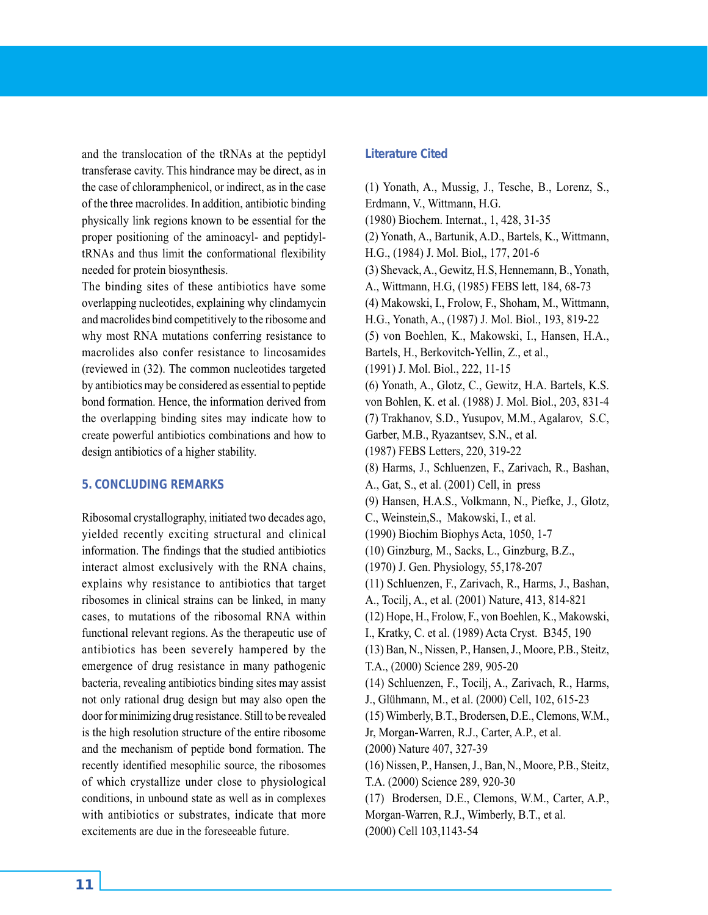and the translocation of the tRNAs at the peptidyl transferase cavity. This hindrance may be direct, as in the case of chloramphenicol, or indirect, as in the case of the three macrolides. In addition, antibiotic binding physically link regions known to be essential for the proper positioning of the aminoacyl- and peptidyltRNAs and thus limit the conformational flexibility needed for protein biosynthesis.

The binding sites of these antibiotics have some overlapping nucleotides, explaining why clindamycin and macrolides bind competitively to the ribosome and why most RNA mutations conferring resistance to macrolides also confer resistance to lincosamides (reviewed in (32). The common nucleotides targeted by antibiotics may be considered as essential to peptide bond formation. Hence, the information derived from the overlapping binding sites may indicate how to create powerful antibiotics combinations and how to design antibiotics of a higher stability.

# **5. CONCLUDING REMARKS**

Ribosomal crystallography, initiated two decades ago, yielded recently exciting structural and clinical information. The findings that the studied antibiotics interact almost exclusively with the RNA chains, explains why resistance to antibiotics that target ribosomes in clinical strains can be linked, in many cases, to mutations of the ribosomal RNA within functional relevant regions. As the therapeutic use of antibiotics has been severely hampered by the emergence of drug resistance in many pathogenic bacteria, revealing antibiotics binding sites may assist not only rational drug design but may also open the door for minimizing drug resistance. Still to be revealed is the high resolution structure of the entire ribosome and the mechanism of peptide bond formation. The recently identified mesophilic source, the ribosomes of which crystallize under close to physiological conditions, in unbound state as well as in complexes with antibiotics or substrates, indicate that more excitements are due in the foreseeable future.

# **Literature Cited**

(1) Yonath, A., Mussig, J., Tesche, B., Lorenz, S., Erdmann, V., Wittmann, H.G. (1980) Biochem. Internat., 1, 428, 31-35 (2) Yonath, A., Bartunik, A.D., Bartels, K., Wittmann, H.G., (1984) J. Mol. Biol,, 177, 201-6 (3) Shevack, A., Gewitz, H.S, Hennemann, B., Yonath, A., Wittmann, H.G, (1985) FEBS lett, 184, 68-73 (4) Makowski, I., Frolow, F., Shoham, M., Wittmann, H.G., Yonath, A., (1987) J. Mol. Biol., 193, 819-22 (5) von Boehlen, K., Makowski, I., Hansen, H.A., Bartels, H., Berkovitch-Yellin, Z., et al., (1991) J. Mol. Biol., 222, 11-15 (6) Yonath, A., Glotz, C., Gewitz, H.A. Bartels, K.S. von Bohlen, K. et al. (1988) J. Mol. Biol., 203, 831-4 (7) Trakhanov, S.D., Yusupov, M.M., Agalarov, S.C, Garber, M.B., Ryazantsev, S.N., et al. (1987) FEBS Letters, 220, 319-22 (8) Harms, J., Schluenzen, F., Zarivach, R., Bashan, A., Gat, S., et al. (2001) Cell, in press (9) Hansen, H.A.S., Volkmann, N., Piefke, J., Glotz, C., Weinstein,S., Makowski, I., et al. (1990) Biochim Biophys Acta, 1050, 1-7 (10) Ginzburg, M., Sacks, L., Ginzburg, B.Z., (1970) J. Gen. Physiology, 55,178-207 (11) Schluenzen, F., Zarivach, R., Harms, J., Bashan, A., Tocilj, A., et al. (2001) Nature, 413, 814-821 (12) Hope, H., Frolow, F., von Boehlen, K., Makowski, I., Kratky, C. et al. (1989) Acta Cryst. B345, 190 (13) Ban, N., Nissen, P., Hansen, J., Moore, P.B., Steitz, T.A., (2000) Science 289, 905-20 (14) Schluenzen, F., Tocilj, A., Zarivach, R., Harms, J., Glühmann, M., et al. (2000) Cell, 102, 615-23 (15) Wimberly, B.T., Brodersen, D.E., Clemons, W.M., Jr, Morgan-Warren, R.J., Carter, A.P., et al. (2000) Nature 407, 327-39 (16) Nissen, P., Hansen, J., Ban, N., Moore, P.B., Steitz, T.A. (2000) Science 289, 920-30 (17) Brodersen, D.E., Clemons, W.M., Carter, A.P., Morgan-Warren, R.J., Wimberly, B.T., et al. (2000) Cell 103,1143-54